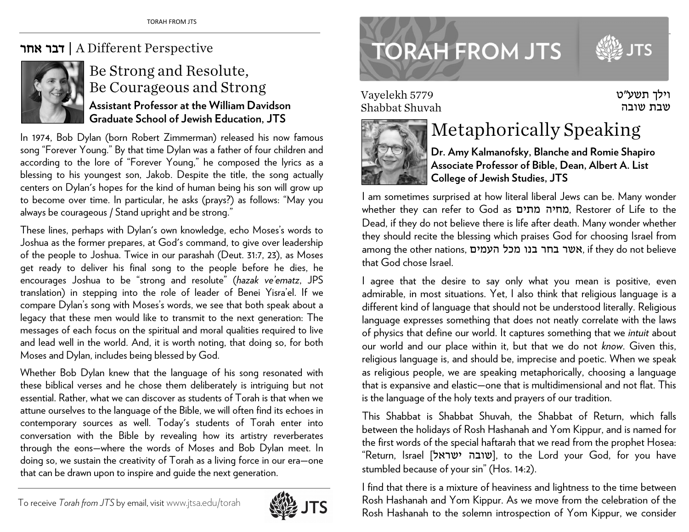## אחר דבר | A Different Perspective



## Be Strong and Resolute, Be Courageous and Strong **Assistant Professor at the William Davidson Graduate School of Jewish Education, JTS**

In 1974, Bob Dylan (born Robert Zimmerman) released his now famous song "Forever Young." By that time Dylan was a father of four children and according to the lore of "Forever Young," he composed the lyrics as a blessing to his youngest son, Jakob. Despite the title, the song actually centers on Dylan's hopes for the kind of human being his son will grow up to become over time. In particular, he asks (prays?) as follows: "May you always be courageous / Stand upright and be strong."

These lines, perhaps with Dylan's own knowledge, echo Moses's words to Joshua as the former prepares, at God's command, to give over leadership of the people to Joshua. Twice in our parashah (Deut. 31:7, 23), as Moses get ready to deliver his final song to the people before he dies, he encourages Joshua to be "strong and resolute" (*hazak ve'ematz*, JPS translation) in stepping into the role of leader of Benei Yisra'el. If we compare Dylan's song with Moses's words, we see that both speak about a legacy that these men would like to transmit to the next generation: The messages of each focus on the spiritual and moral qualities required to live and lead well in the world. And, it is worth noting, that doing so, for both Moses and Dylan, includes being blessed by God.

Whether Bob Dylan knew that the language of his song resonated with these biblical verses and he chose them deliberately is intriguing but not essential. Rather, what we can discover as students of Torah is that when we attune ourselves to the language of the Bible, we will often find its echoes in contemporary sources as well. Today's students of Torah enter into conversation with the Bible by revealing how its artistry reverberates through the eons—where the words of Moses and Bob Dylan meet. In doing so, we sustain the creativity of Torah as a living force in our era—one that can be drawn upon to inspire and guide the next generation.





Vayelekh 5779 Shabbat Shuvah



## Metaphorically Speaking

**Dr. Amy Kalmanofsky, Blanche and Romie Shapiro Associate Professor of Bible, Dean, Albert A. List College of Jewish Studies, JTS** 

וילך תשע"<sup>ט</sup> שבת שובה

I am sometimes surprised at how literal liberal Jews can be. Many wonder whether they can refer to God as מתים מחיה, Restorer of Life to the Dead, if they do not believe there is life after death. Many wonder whether they should recite the blessing which praises God for choosing Israel from among the other nations, העמים מכל בנו בחר אשר, if they do not believe that God chose Israel.

I agree that the desire to say only what you mean is positive, even admirable, in most situations. Yet, I also think that religious language is a different kind of language that should not be understood literally. Religious language expresses something that does not neatly correlate with the laws of physics that define our world. It captures something that we *intuit* about our world and our place within it, but that we do not *know*. Given this, religious language is, and should be, imprecise and poetic. When we speak as religious people, we are speaking metaphorically, choosing a language that is expansive and elastic—one that is multidimensional and not flat. This is the language of the holy texts and prayers of our tradition.

This Shabbat is Shabbat Shuvah, the Shabbat of Return, which falls between the holidays of Rosh Hashanah and Yom Kippur, and is named for the first words of the special haftarah that we read from the prophet Hosea: "Return, Israel ['שובה ישראל], to the Lord your God, for you have stumbled because of your sin" (Hos. 14:2).

I find that there is a mixture of heaviness and lightness to the time between Rosh Hashanah and Yom Kippur. As we move from the celebration of the Rosh Hashanah to the solemn introspection of Yom Kippur, we consider